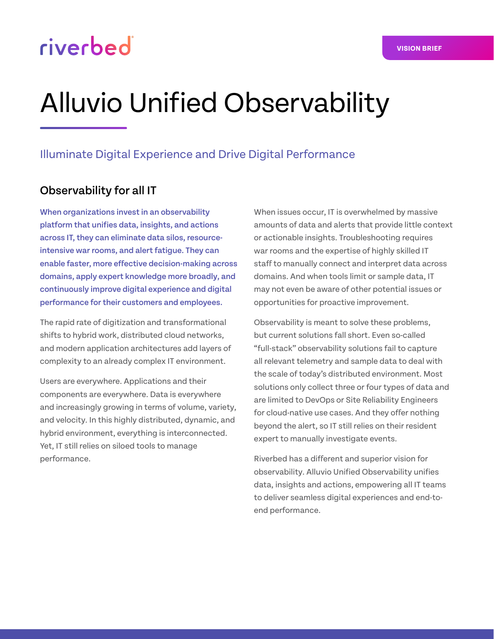# riverbed

### Illuminate Digital Experience and Drive Digital Performance

#### Observability for all IT

When organizations invest in an observability platform that unifies data, insights, and actions across IT, they can eliminate data silos, resourceintensive war rooms, and alert fatigue. They can enable faster, more effective decision-making across domains, apply expert knowledge more broadly, and continuously improve digital experience and digital performance for their customers and employees.

The rapid rate of digitization and transformational shifts to hybrid work, distributed cloud networks, and modern application architectures add layers of complexity to an already complex IT environment.

Users are everywhere. Applications and their components are everywhere. Data is everywhere and increasingly growing in terms of volume, variety, and velocity. In this highly distributed, dynamic, and hybrid environment, everything is interconnected. Yet, IT still relies on siloed tools to manage performance.

When issues occur, IT is overwhelmed by massive amounts of data and alerts that provide little context or actionable insights. Troubleshooting requires war rooms and the expertise of highly skilled IT staff to manually connect and interpret data across domains. And when tools limit or sample data, IT may not even be aware of other potential issues or opportunities for proactive improvement.

Observability is meant to solve these problems, but current solutions fall short. Even so-called "full-stack" observability solutions fail to capture all relevant telemetry and sample data to deal with the scale of today's distributed environment. Most solutions only collect three or four types of data and are limited to DevOps or Site Reliability Engineers for cloud-native use cases. And they offer nothing beyond the alert, so IT still relies on their resident expert to manually investigate events.

Riverbed has a different and superior vision for observability. Alluvio Unified Observability unifies data, insights and actions, empowering all IT teams to deliver seamless digital experiences and end-toend performance.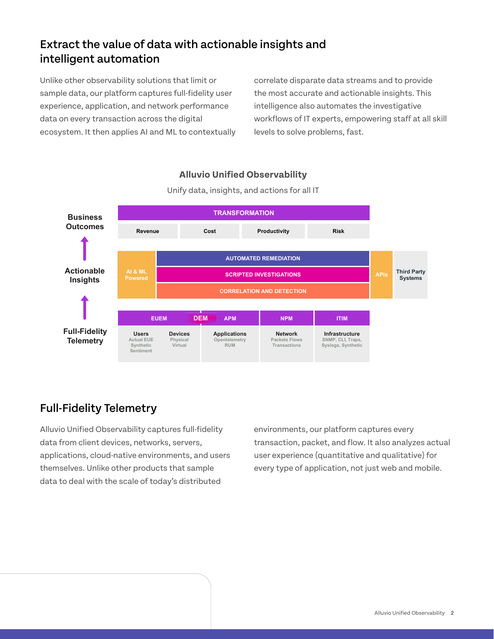## Extract the value of data with actionable insights and intelligent automation

Unlike other observability solutions that limit or sample data, our platform captures full-fidelity user experience, application, and network performance data on every transaction across the digital ecosystem. It then applies AI and ML to contextually correlate disparate data streams and to provide the most accurate and actionable insights. This intelligence also automates the investigative workflows of IT experts, empowering staff at all skill levels to solve problems, fast.



#### **Alluvio Unified Observability**

Unify data, insights, and actions for all IT

## Full-Fidelity Telemetry

Alluvio Unified Observability captures full-fidelity data from client devices, networks, servers, applications, cloud-native environments, and users themselves. Unlike other products that sample data to deal with the scale of today's distributed

environments, our platform captures every transaction, packet, and flow. It also analyzes actual user experience (quantitative and qualitative) for every type of application, not just web and mobile.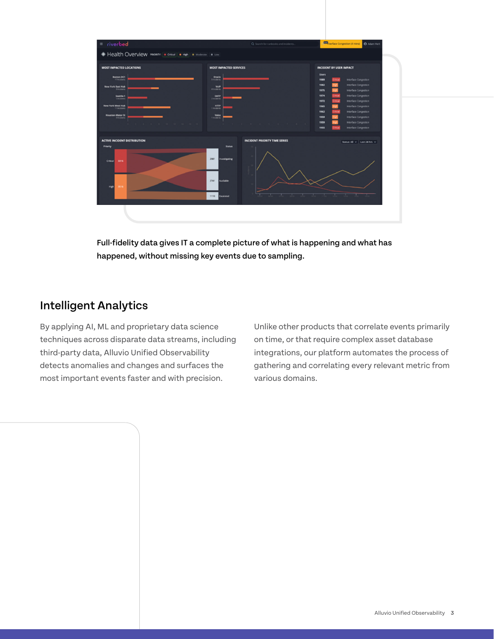

Full-fidelity data gives IT a complete picture of what is happening and what has happened, without missing key events due to sampling.

## Intelligent Analytics

By applying AI, ML and proprietary data science techniques across disparate data streams, including third-party data, Alluvio Unified Observability detects anomalies and changes and surfaces the most important events faster and with precision.

Unlike other products that correlate events primarily on time, or that require complex asset database integrations, our platform automates the process of gathering and correlating every relevant metric from various domains.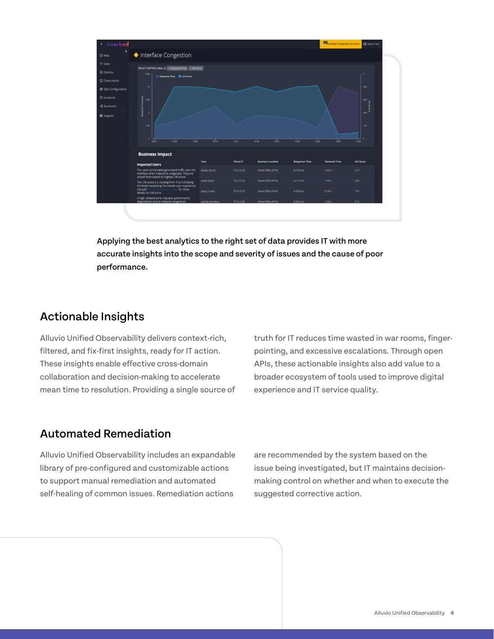

Applying the best analytics to the right set of data provides IT with more accurate insights into the scope and severity of issues and the cause of poor performance.

### Actionable Insights

Alluvio Unified Observability delivers context-rich, filtered, and fix-first insights, ready for IT action. These insights enable effective cross-domain collaboration and decision-making to accelerate mean time to resolution. Providing a single source of truth for IT reduces time wasted in war rooms, fingerpointing, and excessive escalations. Through open APIs, these actionable insights also add value to a broader ecosystem of tools used to improve digital experience and IT service quality.

## Automated Remediation

Alluvio Unified Observability includes an expandable library of pre-configured and customizable actions to support manual remediation and automated self-healing of common issues. Remediation actions

are recommended by the system based on the issue being investigated, but IT maintains decisionmaking control on whether and when to execute the suggested corrective action.